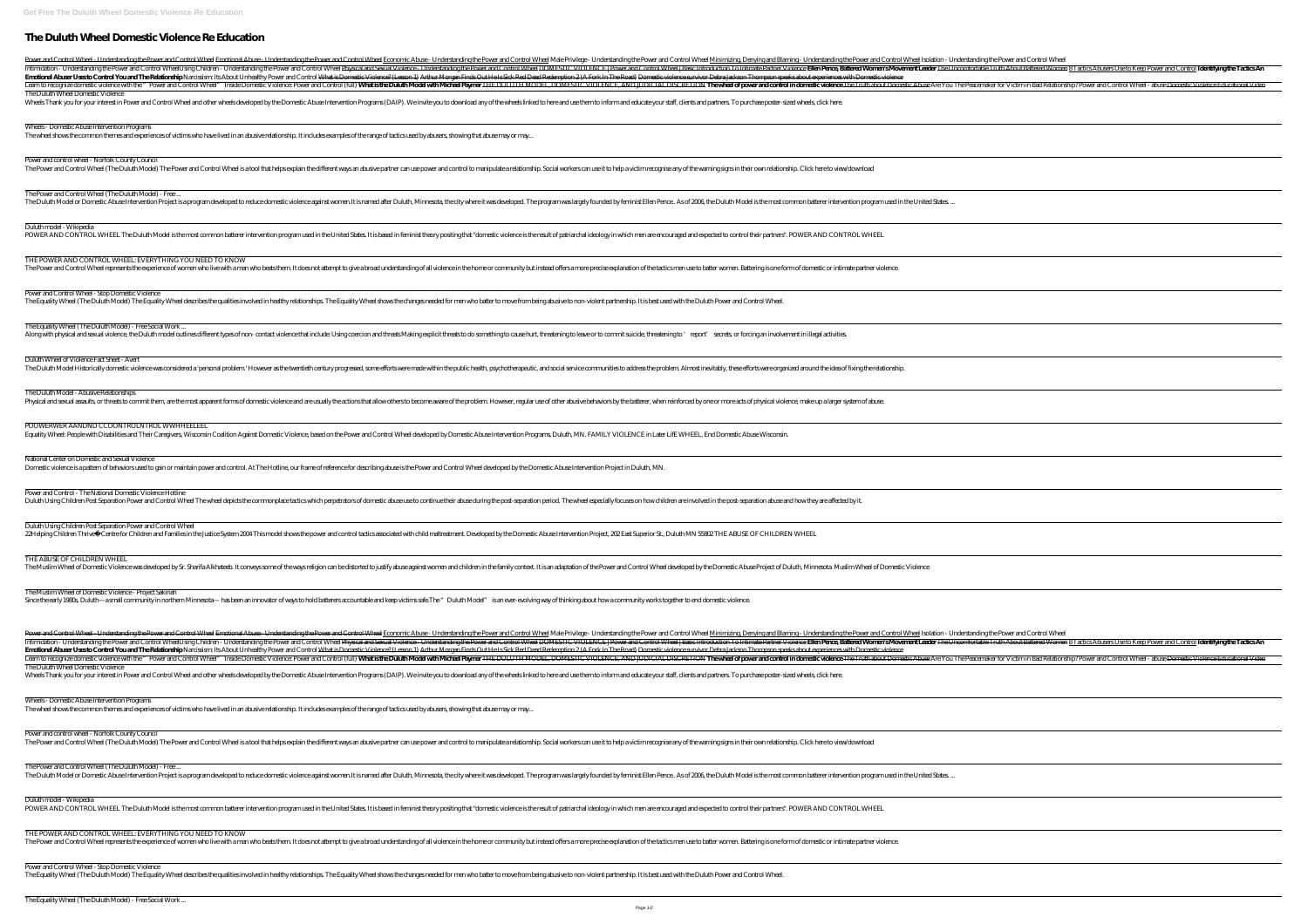# **The Duluth Wheel Domestic Violence Re Education**

Power and Control Wheel - Understanding the Power and Control Wheel Emotional Abuse - Understanding the Power and Control Wheel Male Privilege - Understanding the Power and Control Wheel Male Privilege - Understanding the Intimidation - Understanding the Power and Control Wheel *Using Children - Understanding the Power and Control Wheel Physical and Sexual Violence. Understanding the Power and Control Wheel Physical and Sexual Violence. Und* Emotional Abuser Uses to Control You and The Relationship Narcissism: Its About Unhealthy Power and Control What is Domestic Violence? (Lesson 1) Arthur Morgan Finds Out He The Duluth Wheel Domestic Violence

### POOWERWER AANDND CCOONTROLNTROL WWHHEELEEL

| Emotional Abuser Uses to Control You and The Relationship Narcissism: Its About Unhealthy Power and Control What is Domestic Violence? (Lesson 1) Arthur Morgan Finds Out He Is Sick Red Dead Redemption 2 (A Fork In The Road<br>Inside Domestic wollence with the "Power and Control Wheel" Inside Domestic Violence: Power and Control (full) <b>What is the Duluth Model with Michael Payma</b> r <del>THE DULUTH MODEL, DOMESTIC VIOLENCE, AND JUDICIAL DISCRETION</del> T                                        |
|------------------------------------------------------------------------------------------------------------------------------------------------------------------------------------------------------------------------------------------------------------------------------------------------------------------------------------------------------------------------------------------------------------------------------------------------------------------------------------------------------------------------|
| The Duluth Wheel Domestic Violence<br>Wheels Thank you for your interest in Power and Control Wheel and other wheels developed by the Domestic Abuse Intervention Programs (DAIP). We invite you to download any of the wheels linked to here and use them to inform                                                                                                                                                                                                                                                   |
| Wheels - Domestic Abuse Intervention Programs<br>The wheel shows the common themes and experiences of victims who have lived in an abusive relationship. It includes examples of the range of tactics used by abusers, showing that abuse may or may                                                                                                                                                                                                                                                                   |
| Power and control wheel - Norfolk County Council<br>The Power and Control Wheel (The Duluth Model) The Power and Control Wheel is a tool that helps explain the different ways an abusive partner can use power and control to manipulate a relationship. Social workers can use i                                                                                                                                                                                                                                     |
| The Power and Control Wheel (The Duluth Model) - Free<br>The Duluth Model or Domestic Abuse Intervention Project is a program developed to reduce domestic violence against women.It is named after Duluth, Minnesota, the city where it was developed. The program was largely founded                                                                                                                                                                                                                                |
| Duluth model - Wikipedia<br>POWER AND CONTROL WHEEL The Duluth Model is the most common batterer intervention program used in the United States. It is based in feminist theory positing that "domestic violence is the result of patriarchal ideology in                                                                                                                                                                                                                                                              |
| THE POWER AND CONTROL WHEEL: EVERYTHING YOU NEED TO KNOW<br>The Power and Control Wheel represents the experience of women who live with a man who beats them. It does not attempt to give a broad understanding of all violence in the home or community but instead offers a more precis                                                                                                                                                                                                                             |
| Power and Control Wheel - Stop Domestic Violence<br>The Equality Wheel (The Duluth Model) The Equality Wheel describes the qualities involved in healthy relationships. The Equality Wheel shows the changes needed for men who batter to move from being abusive to non-violent p                                                                                                                                                                                                                                     |
| The Equality Wheel (The Duluth Model) - Free Social Work<br>Along with physical and sexual violence, the Duluth model outlines different types of non- contact violence that include: Using coercion and threats Making explicit threats to do something to cause hurt, threatening to lea                                                                                                                                                                                                                             |
| Duluth Wheel of Violence Fact Sheet - Avert<br>The Duluth Model Historically domestic violence was considered a 'personal problem.' However as the twentieth century progressed, some efforts were made within the public health, psychotherapeutic, and social service commu                                                                                                                                                                                                                                          |
| The Duluth Model - Abusive Relationships<br>Physical and sexual assaults, or threats to commit them, are the most apparent forms of domestic violence and are usually the actions that allow others to become aware of the problem. However, regular use of other abusive                                                                                                                                                                                                                                              |
| POOWERWER AANDND CCOONTROLNTROL WWHHEELEEL<br>Equality Wheel: People with Disabilities and Their Caregivers, Wisconsin Coalition Against Domestic Violence, based on the Power and Control Wheel developed by Domestic Abuse Intervention Programs, Duluth, MN. FAMILY VIOLE                                                                                                                                                                                                                                           |
| National Center on Domestic and Sexual Violence<br>Domestic violence is a pattern of behaviors used to gain or maintain power and control. At The Hotline, our frame of reference for describing abuse is the Power and Control Wheel developed by the Domestic Abuse Interventio                                                                                                                                                                                                                                      |
| Power and Control - The National Domestic Violence Hotline<br>Duluth Using Children Post Separation Power and Control Wheel The wheel depicts the commonplace tactics which perpetrators of domestic abuse use to continue their abuse during the post-separation period. The wheel especial                                                                                                                                                                                                                           |
| Duluth Using Children Post Separation Power and Control Wheel<br>22Helping Children Thrive© Centre for Children and Families in the Justice System 2004 This model shows the power and control tactics associated with child maltreatment. Developed by the Domestic Abuse Intervention Project                                                                                                                                                                                                                        |
| THE ABUSE OF CHILDREN WHEEL<br>The Muslim Wheel of Domestic Violence was developed by Sr. Sharifa Alkhateeb. It conveys some of the ways religion can be distorted to justify abuse against women and children in the family context. It is an adaptation of                                                                                                                                                                                                                                                           |
| The Muslim Wheel of Domestic Violence - Project Sakinah<br>Since the early 1980s, Duluth—a small community in northern Minnesota— has been an innovator of ways to hold batterers accountable and keep victims safe. The "Duluth Model" is an ever-evolving way of thinking about how a c                                                                                                                                                                                                                              |
| Power and Control Wheel - Understanding the Power and Control Wheel Emotional Abuse - Understanding the Power and Control Wheel Economic Abuse - Understanding the Power and Control Wheel Male Privilege - Understanding the                                                                                                                                                                                                                                                                                          |
| Intimidation - Understanding the Power and Control Wheel <i>Using Children - Understanding the Power and Control Wheel Physical and Sexual Violence. Understanding the Power and Control Wheel Physical and Sexual Violence. Und</i><br>Emotional Abuser Uses to Control You and The Relationship Narcissism: Its About Unhealthy Power and Control What is Domestic Violence? (Lesson 1) Arthur Morgan Finds Out He Is Sick Red Dead Redemption 2 (A Fork In The Road                                                 |
| Learn to recognize domestic violence with the "Power and Control Wheel" Inside Domestic Violence: Power and Control (full) <b>What is the Duluth Model with Michael Payma</b> r <del>THE DULUTH MODEL, DOMESTIC VIOLENCE, AND JUDICIAL D</del><br>The Duluth Wheel Domestic Violence<br>Wheels Thank you for your interest in Power and Control Wheel and other wheels developed by the Domestic Abuse Intervention Programs (DAIP). We invite you to download any of the wheels linked to here and use them to inform |
| Wheels - Domestic Abuse Intervention Programs<br>The wheel shows the common themes and experiences of victims who have lived in an abusive relationship. It includes examples of the range of tactics used by abusers, showing that abuse may or may                                                                                                                                                                                                                                                                   |
| Power and control wheel - Norfolk County Council<br>The Power and Control Wheel (The Duluth Model) The Power and Control Wheel is a tool that helps explain the different ways an abusive partner can use power and control to manipulate a relationship. Social workers can use i                                                                                                                                                                                                                                     |
| The Power and Control Wheel (The Duluth Model) - Free<br>The Duluth Model or Domestic Abuse Intervention Project is a program developed to reduce domestic violence against women.It is named after Duluth, Minnesota, the city where it was developed. The program was largely founded                                                                                                                                                                                                                                |
| Duluth model - Wikipedia<br>POWER AND CONTROL WHEEL The Duluth Model is the most common batterer intervention program used in the United States. It is based in feminist theory positing that "domestic violence is the result of patriarchal ideology in                                                                                                                                                                                                                                                              |
| THE POWER AND CONTROL WHEEL: EVERYTHING YOU NEED TO KNOW<br>The Power and Control Wheel represents the experience of women who live with a man who beats them. It does not attempt to give a broad understanding of all violence in the home or community but instead offers a more precis                                                                                                                                                                                                                             |
| Power and Control Wheel - Stop Domestic Violence<br>The Equality Wheel (The Duluth Model) The Equality Wheel describes the qualities involved in healthy relationships. The Equality Wheel shows the changes needed for men who batter to move from being abusive to non-violent p                                                                                                                                                                                                                                     |
| The Equality Wheel (The Duluth Model) - Free Social Work                                                                                                                                                                                                                                                                                                                                                                                                                                                               |
| Page 1/2                                                                                                                                                                                                                                                                                                                                                                                                                                                                                                               |